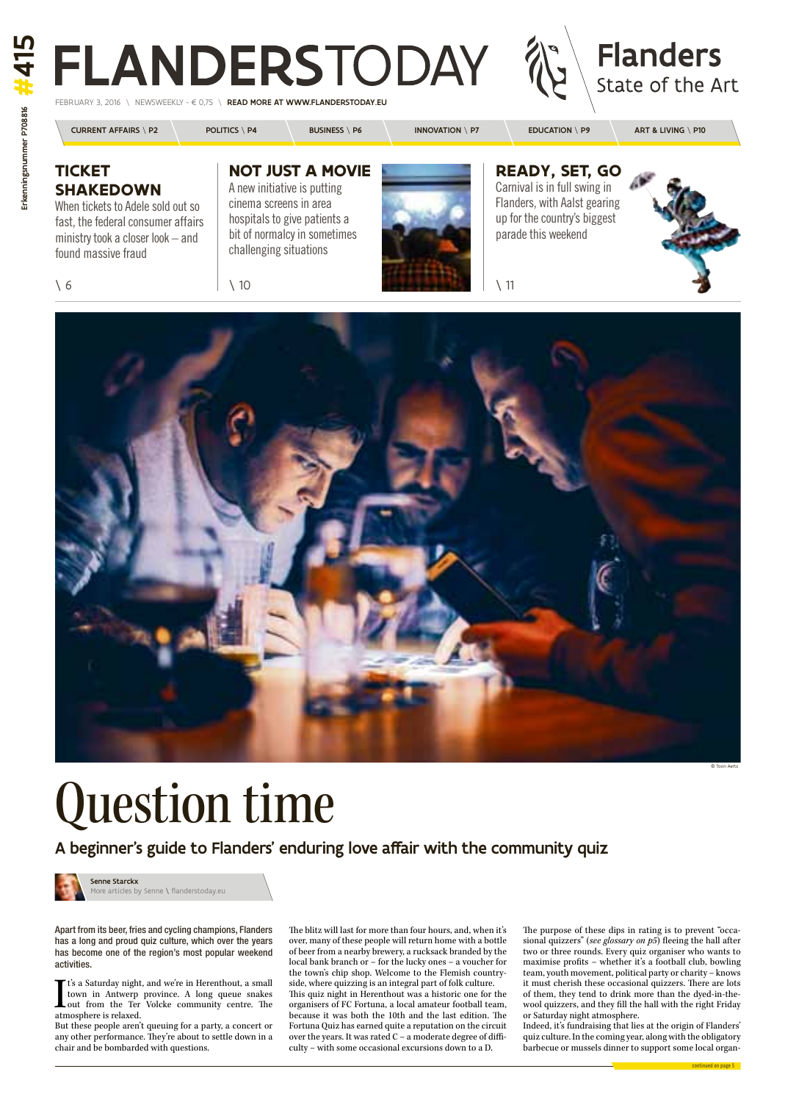## FLANDERSTODAY  $f \in 0.75$  \ READ MORE AT WWW.FLANDERSTODAY.EU

**Flanders** State of the Art

#### **Ticket shakedown** When tickets to Adele sold out so

fast, the federal consumer affairs ministry took a closer look – and found massive fraud



CURRENT AFFAIRS \ P2 **politics \ p4** business \ p6 innovation \ p7 bducation \ p9 art & living \ p10

Erkenningsnummer P708816

 $\begin{array}{cl} \displaystyle \prod \text{t's a Saturday night,} \\ \text{town in Antwerp} \\ \text{out from the Ter} \\ \text{atmosphere is relaxed.} \end{array}$ It's a Saturday night, and we're in Herenthout, a small town in Antwerp province. A long queue snakes out from the Ter Volcke community centre. The

Apart from its beer, fries and cycling champions, Flanders has a long and proud quiz culture, which over the years has become one of the region's most popular weekend activities.

But these people aren't queuing for a party, a concert or any other performance. They're about to settle down in a chair and be bombarded with questions.

The blitz will last for more than four hours, and, when it's over, many of these people will return home with a bottle of beer from a nearby brewery, a rucksack branded by the local bank branch or – for the lucky ones – a voucher for the town's chip shop. Welcome to the Flemish countryside, where quizzing is an integral part of folk culture. This quiz night in Herenthout was a historic one for the organisers of FC Fortuna, a local amateur football team, because it was both the 10th and the last edition. The Fortuna Quiz has earned quite a reputation on the circuit over the years. It was rated C – a moderate degree of difficulty – with some occasional excursions down to a D.

The purpose of these dips in rating is to prevent "occasional quizzers" (*see glossary on p5*) fleeing the hall after two or three rounds. Every quiz organiser who wants to maximise profits – whether it's a football club, bowling team, youth movement, political party or charity – knows it must cherish these occasional quizzers. There are lots of them, they tend to drink more than the dyed-in-thewool quizzers, and they fill the hall with the right Friday or Saturday night atmosphere.

Indeed, it's fundraising that lies at the origin of Flanders' quiz culture. In the coming year, along with the obligatory barbecue or mussels dinner to support some local organ-

### **Not just a movie**



cinema screens in area hospitals to give patients a bit of normalcy in sometimes challenging situations

### **Ready, set, go**

Carnival is in full swing in Flanders, with Aalst gearing up for the country's biggest parade this weekend

# Question time

A beginner's guide to Flanders' enduring love affair with the community quiz